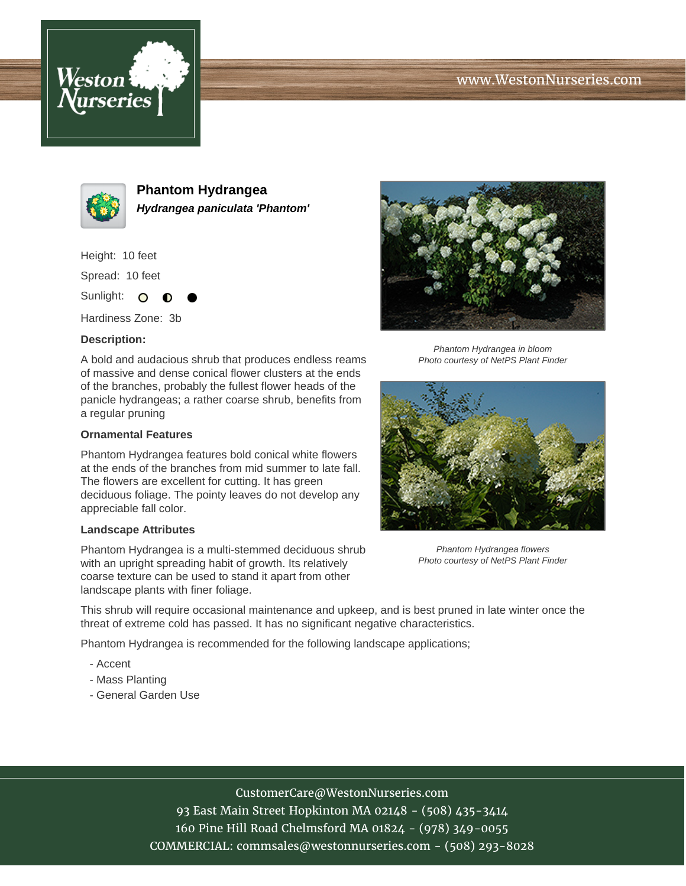## www.WestonNurseries.com





**Phantom Hydrangea Hydrangea paniculata 'Phantom'**

Height: 10 feet

Spread: 10 feet

Sunlight: O  $\bullet$ 

Hardiness Zone: 3b

#### **Description:**

A bold and audacious shrub that produces endless reams of massive and dense conical flower clusters at the ends of the branches, probably the fullest flower heads of the panicle hydrangeas; a rather coarse shrub, benefits from a regular pruning

#### **Ornamental Features**

Phantom Hydrangea features bold conical white flowers at the ends of the branches from mid summer to late fall. The flowers are excellent for cutting. It has green deciduous foliage. The pointy leaves do not develop any appreciable fall color.

### **Landscape Attributes**

Phantom Hydrangea is a multi-stemmed deciduous shrub with an upright spreading habit of growth. Its relatively coarse texture can be used to stand it apart from other landscape plants with finer foliage.



Phantom Hydrangea in bloom Photo courtesy of NetPS Plant Finder



Phantom Hydrangea flowers Photo courtesy of NetPS Plant Finder

This shrub will require occasional maintenance and upkeep, and is best pruned in late winter once the threat of extreme cold has passed. It has no significant negative characteristics.

Phantom Hydrangea is recommended for the following landscape applications;

- Accent
- Mass Planting
- General Garden Use

# CustomerCare@WestonNurseries.com

93 East Main Street Hopkinton MA 02148 - (508) 435-3414 160 Pine Hill Road Chelmsford MA 01824 - (978) 349-0055 COMMERCIAL: commsales@westonnurseries.com - (508) 293-8028